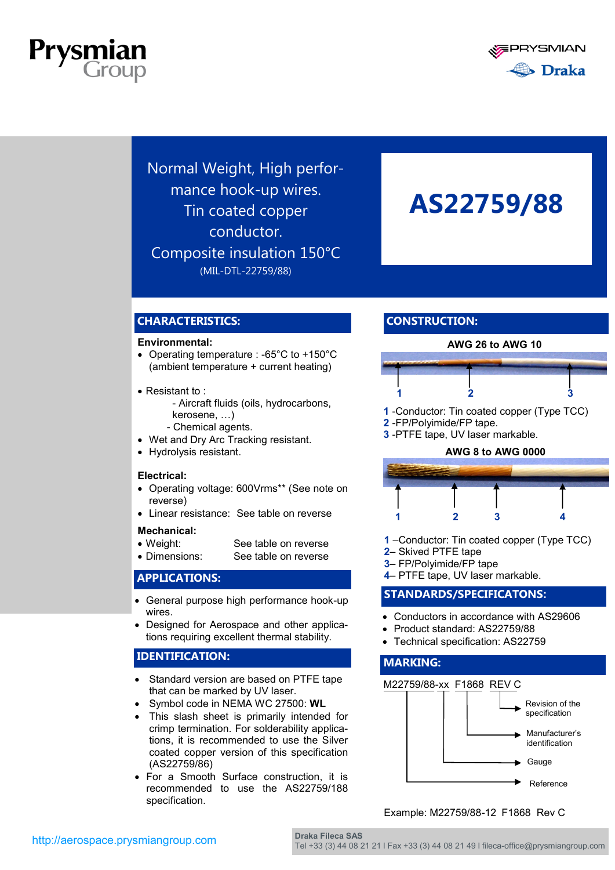



Normal Weight, High performance hook-up wires. Tin coated copper conductor. Composite insulation 150°C (MIL-DTL-22759/88)

## **AS22759/88**

## **CHARACTERISTICS:**

#### **Environmental:**

- Operating temperature : -65°C to +150°C (ambient temperature + current heating)
- Resistant to:
	- Aircraft fluids (oils, hydrocarbons, kerosene, …)
	- Chemical agents.
- Wet and Dry Arc Tracking resistant.
- Hydrolysis resistant.

#### **Electrical:**

- Operating voltage: 600Vrms\*\* (See note on reverse)
- Linear resistance: See table on reverse

#### **Mechanical:**

- Weight: See table on reverse
- Dimensions: See table on reverse

## **APPLICATIONS:**

- General purpose high performance hook-up wires.
- Designed for Aerospace and other applications requiring excellent thermal stability.

### **IDENTIFICATION:**

- Standard version are based on PTFE tape that can be marked by UV laser.
- Symbol code in NEMA WC 27500: **WL**
- This slash sheet is primarily intended for crimp termination. For solderability applications, it is recommended to use the Silver coated copper version of this specification (AS22759/86)
- For a Smooth Surface construction, it is recommended to use the AS22759/188 specification.

## **CONSTRUCTION:**



- **2** -FP/Polyimide/FP tape.
- **3** -PTFE tape, UV laser markable.



- **1** –Conductor: Tin coated copper (Type TCC)
- **2** Skived PTFE tape
- **3** FP/Polyimide/FP tape
- **4** PTFE tape, UV laser markable.

## **STANDARDS/SPECIFICATONS:**

- Conductors in accordance with AS29606
- Product standard: AS22759/88
- Technical specification: AS22759

#### **MARKING:**



### Example: M22759/88-12 F1868 Rev C